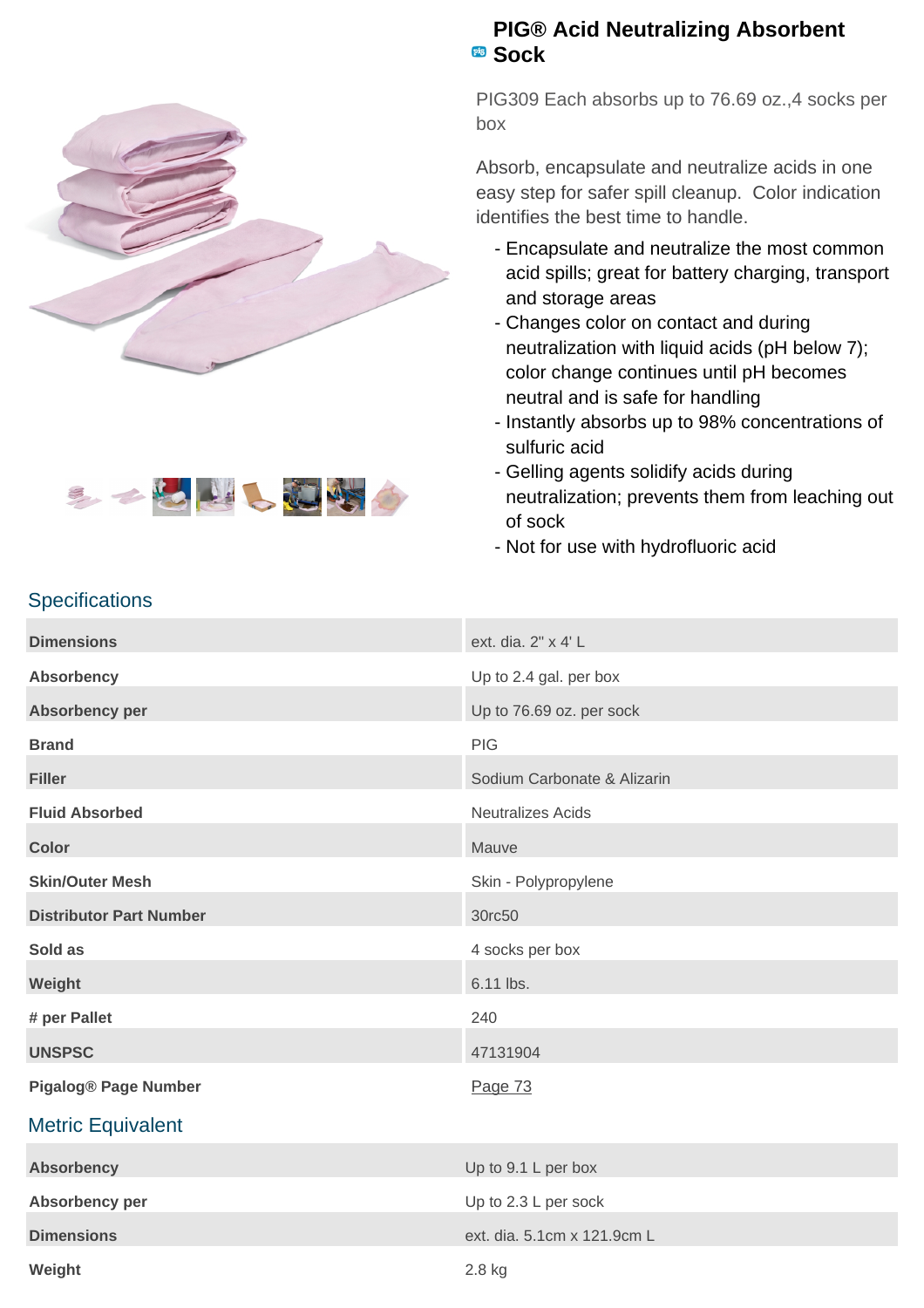



## **PIG® Acid Neutralizing Absorbent Sock**

PIG309 Each absorbs up to 76.69 oz.,4 socks per box

Absorb, encapsulate and neutralize acids in one easy step for safer spill cleanup. Color indication identifies the best time to handle.

- Encapsulate and neutralize the most common acid spills; great for battery charging, transport and storage areas
- Changes color on contact and during neutralization with liquid acids (pH below 7); color change continues until pH becomes neutral and is safe for handling
- Instantly absorbs up to 98% concentrations of sulfuric acid
- Gelling agents solidify acids during neutralization; prevents them from leaching out of sock
- Not for use with hydrofluoric acid

## **Specifications**

| <b>Dimensions</b>              | ext. dia. 2" x 4' L         |
|--------------------------------|-----------------------------|
| <b>Absorbency</b>              | Up to 2.4 gal. per box      |
| Absorbency per                 | Up to 76.69 oz. per sock    |
| <b>Brand</b>                   | <b>PIG</b>                  |
| <b>Filler</b>                  | Sodium Carbonate & Alizarin |
| <b>Fluid Absorbed</b>          | <b>Neutralizes Acids</b>    |
| <b>Color</b>                   | Mauve                       |
| <b>Skin/Outer Mesh</b>         | Skin - Polypropylene        |
| <b>Distributor Part Number</b> | 30rc50                      |
| Sold as                        | 4 socks per box             |
| Weight                         | 6.11 lbs.                   |
| # per Pallet                   | 240                         |
| <b>UNSPSC</b>                  | 47131904                    |
| <b>Pigalog® Page Number</b>    | Page 73                     |
| <b>Metric Equivalent</b>       |                             |
| <b>Absorbency</b>              | Up to 9.1 L per box         |
| Absorbency per                 | Up to 2.3 L per sock        |
| <b>Dimensions</b>              | ext. dia. 5.1cm x 121.9cm L |
| Weight                         | 2.8 kg                      |